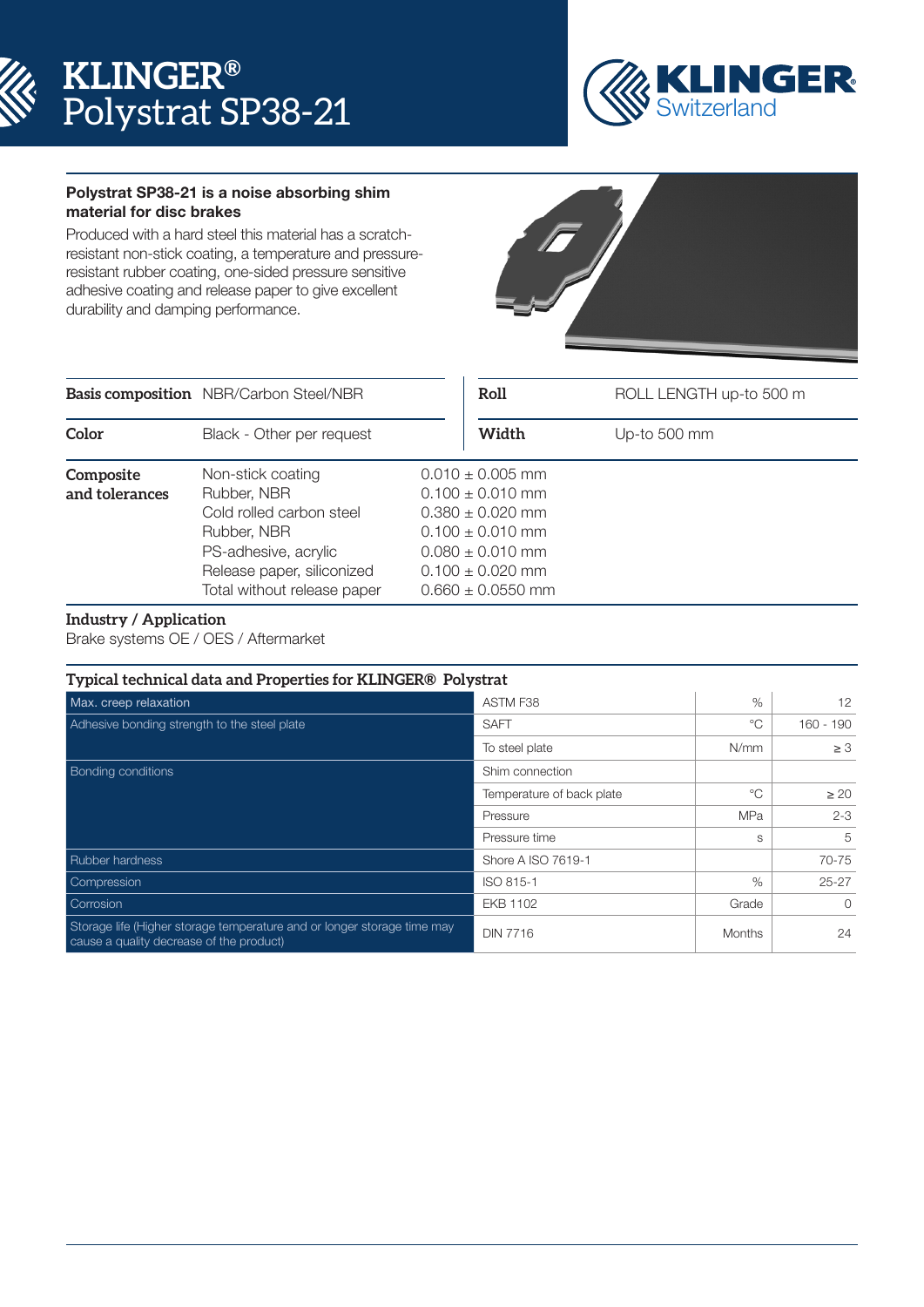



## Polystrat SP38-21 is a noise absorbing shim material for disc brakes

Produced with a hard steel this material has a scratchresistant non-stick coating, a temperature and pressureresistant rubber coating, one-sided pressure sensitive adhesive coating and release paper to give excellent durability and damping performance.



|                             | <b>Basis composition</b> NBR/Carbon Steel/NBR                                                                                                                    | Roll                                                                                                                                                                  | ROLL LENGTH up-to 500 m |
|-----------------------------|------------------------------------------------------------------------------------------------------------------------------------------------------------------|-----------------------------------------------------------------------------------------------------------------------------------------------------------------------|-------------------------|
| Color                       | Black - Other per request                                                                                                                                        | Width                                                                                                                                                                 | Up-to 500 mm            |
| Composite<br>and tolerances | Non-stick coating<br>Rubber, NBR<br>Cold rolled carbon steel<br>Rubber, NBR<br>PS-adhesive, acrylic<br>Release paper, siliconized<br>Total without release paper | $0.010 \pm 0.005$ mm<br>$0.100 \pm 0.010$ mm<br>$0.380 \pm 0.020$ mm<br>$0.100 \pm 0.010$ mm<br>$0.080 \pm 0.010$ mm<br>$0.100 \pm 0.020$ mm<br>$0.660 \pm 0.0550$ mm |                         |

## **Industry / Application**

Brake systems OE / OES / Aftermarket

| Typical technical data and Properties for KLINGER® Polystrat                                                        |                           |               |           |  |
|---------------------------------------------------------------------------------------------------------------------|---------------------------|---------------|-----------|--|
| Max. creep relaxation                                                                                               | ASTM F38                  | $\%$          | 12        |  |
| Adhesive bonding strength to the steel plate                                                                        | <b>SAFT</b>               | $^{\circ}$ C  | 160 - 190 |  |
|                                                                                                                     | To steel plate            | N/mm          | $\geq 3$  |  |
| <b>Bonding conditions</b>                                                                                           | Shim connection           |               |           |  |
|                                                                                                                     | Temperature of back plate | $^{\circ}$    | $\geq 20$ |  |
|                                                                                                                     | Pressure                  | <b>MPa</b>    | $2 - 3$   |  |
|                                                                                                                     | Pressure time             | S             | 5         |  |
| Rubber hardness                                                                                                     | Shore A ISO 7619-1        |               | 70-75     |  |
| Compression                                                                                                         | ISO 815-1                 | $\%$          | $25 - 27$ |  |
| Corrosion                                                                                                           | <b>EKB 1102</b>           | Grade         | $\Omega$  |  |
| Storage life (Higher storage temperature and or longer storage time may<br>cause a quality decrease of the product) | <b>DIN 7716</b>           | <b>Months</b> | 24        |  |